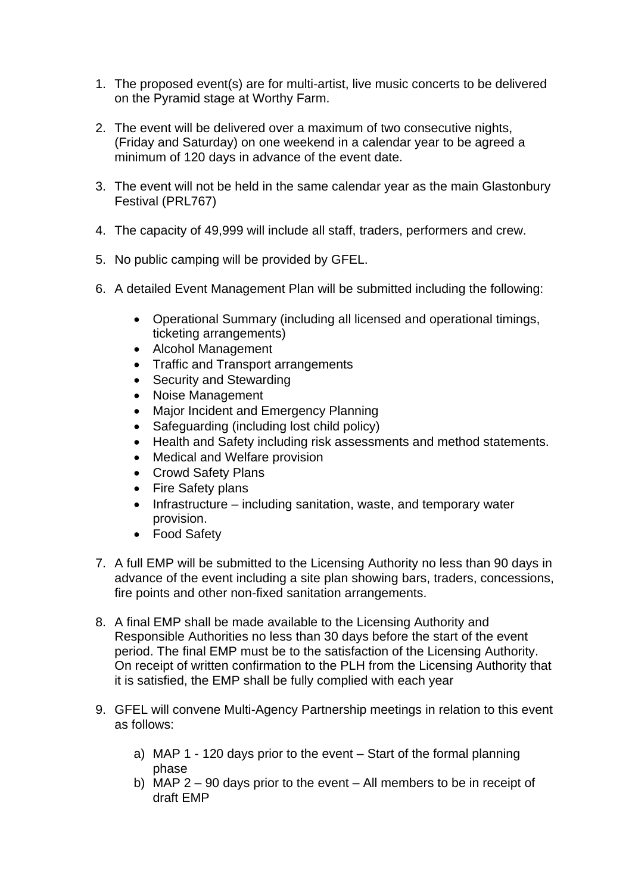- 1. The proposed event(s) are for multi-artist, live music concerts to be delivered on the Pyramid stage at Worthy Farm.
- 2. The event will be delivered over a maximum of two consecutive nights, (Friday and Saturday) on one weekend in a calendar year to be agreed a minimum of 120 days in advance of the event date.
- 3. The event will not be held in the same calendar year as the main Glastonbury Festival (PRL767)
- 4. The capacity of 49,999 will include all staff, traders, performers and crew.
- 5. No public camping will be provided by GFEL.
- 6. A detailed Event Management Plan will be submitted including the following:
	- Operational Summary (including all licensed and operational timings, ticketing arrangements)
	- Alcohol Management
	- Traffic and Transport arrangements
	- Security and Stewarding
	- Noise Management
	- Major Incident and Emergency Planning
	- Safeguarding (including lost child policy)
	- Health and Safety including risk assessments and method statements.
	- Medical and Welfare provision
	- Crowd Safety Plans
	- Fire Safety plans
	- Infrastructure including sanitation, waste, and temporary water provision.
	- Food Safety
- 7. A full EMP will be submitted to the Licensing Authority no less than 90 days in advance of the event including a site plan showing bars, traders, concessions, fire points and other non-fixed sanitation arrangements.
- 8. A final EMP shall be made available to the Licensing Authority and Responsible Authorities no less than 30 days before the start of the event period. The final EMP must be to the satisfaction of the Licensing Authority. On receipt of written confirmation to the PLH from the Licensing Authority that it is satisfied, the EMP shall be fully complied with each year
- 9. GFEL will convene Multi-Agency Partnership meetings in relation to this event as follows:
	- a) MAP 1 120 days prior to the event Start of the formal planning phase
	- b) MAP 2 90 days prior to the event All members to be in receipt of draft EMP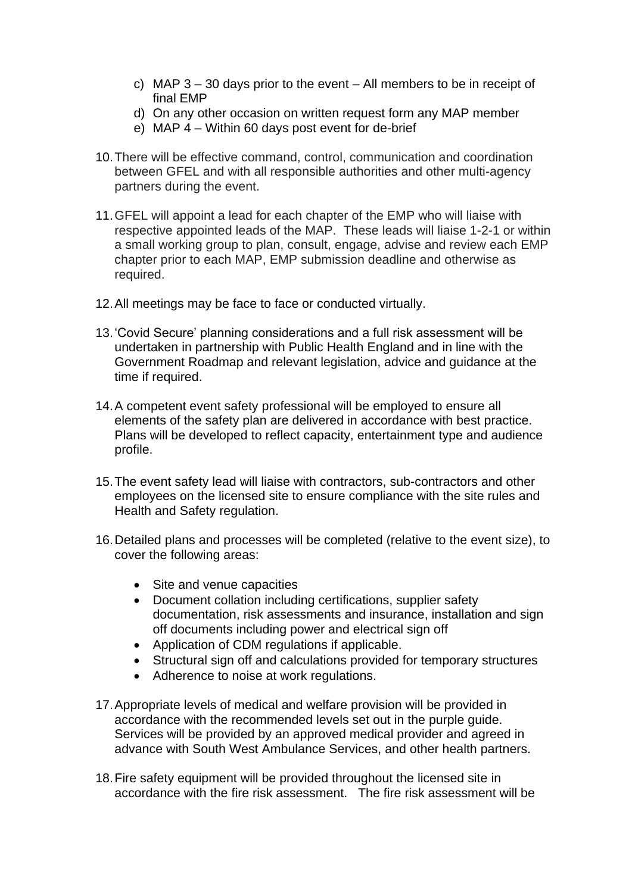- c) MAP 3 30 days prior to the event All members to be in receipt of final EMP
- d) On any other occasion on written request form any MAP member
- e) MAP 4 Within 60 days post event for de-brief
- 10.There will be effective command, control, communication and coordination between GFEL and with all responsible authorities and other multi-agency partners during the event.
- 11.GFEL will appoint a lead for each chapter of the EMP who will liaise with respective appointed leads of the MAP. These leads will liaise 1-2-1 or within a small working group to plan, consult, engage, advise and review each EMP chapter prior to each MAP, EMP submission deadline and otherwise as required.
- 12.All meetings may be face to face or conducted virtually.
- 13.'Covid Secure' planning considerations and a full risk assessment will be undertaken in partnership with Public Health England and in line with the Government Roadmap and relevant legislation, advice and guidance at the time if required.
- 14.A competent event safety professional will be employed to ensure all elements of the safety plan are delivered in accordance with best practice. Plans will be developed to reflect capacity, entertainment type and audience profile.
- 15.The event safety lead will liaise with contractors, sub-contractors and other employees on the licensed site to ensure compliance with the site rules and Health and Safety regulation.
- 16.Detailed plans and processes will be completed (relative to the event size), to cover the following areas:
	- Site and venue capacities
	- Document collation including certifications, supplier safety documentation, risk assessments and insurance, installation and sign off documents including power and electrical sign off
	- Application of CDM regulations if applicable.
	- Structural sign off and calculations provided for temporary structures
	- Adherence to noise at work regulations.
- 17.Appropriate levels of medical and welfare provision will be provided in accordance with the recommended levels set out in the purple guide. Services will be provided by an approved medical provider and agreed in advance with South West Ambulance Services, and other health partners.
- 18.Fire safety equipment will be provided throughout the licensed site in accordance with the fire risk assessment. The fire risk assessment will be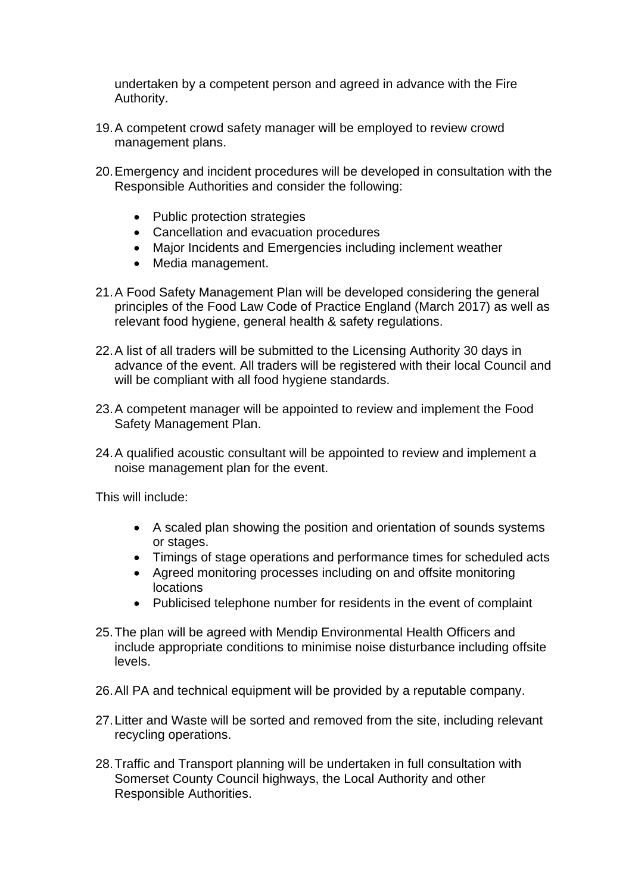undertaken by a competent person and agreed in advance with the Fire Authority.

- 19.A competent crowd safety manager will be employed to review crowd management plans.
- 20.Emergency and incident procedures will be developed in consultation with the Responsible Authorities and consider the following:
	- Public protection strategies
	- Cancellation and evacuation procedures
	- Major Incidents and Emergencies including inclement weather
	- Media management.
- 21.A Food Safety Management Plan will be developed considering the general principles of the Food Law Code of Practice England (March 2017) as well as relevant food hygiene, general health & safety regulations.
- 22.A list of all traders will be submitted to the Licensing Authority 30 days in advance of the event. All traders will be registered with their local Council and will be compliant with all food hygiene standards.
- 23.A competent manager will be appointed to review and implement the Food Safety Management Plan.
- 24.A qualified acoustic consultant will be appointed to review and implement a noise management plan for the event.

This will include:

- A scaled plan showing the position and orientation of sounds systems or stages.
- Timings of stage operations and performance times for scheduled acts
- Agreed monitoring processes including on and offsite monitoring locations
- Publicised telephone number for residents in the event of complaint
- 25.The plan will be agreed with Mendip Environmental Health Officers and include appropriate conditions to minimise noise disturbance including offsite levels.
- 26.All PA and technical equipment will be provided by a reputable company.
- 27.Litter and Waste will be sorted and removed from the site, including relevant recycling operations.
- 28.Traffic and Transport planning will be undertaken in full consultation with Somerset County Council highways, the Local Authority and other Responsible Authorities.